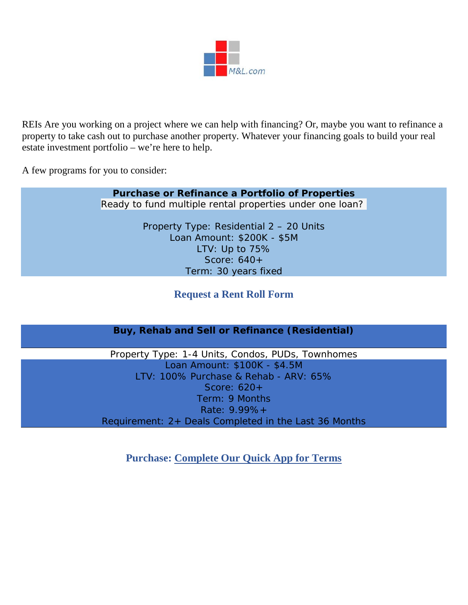

REIs Are you working on a project where we can help with financing? Or, maybe you want to refinance a property to take cash out to purchase another property. Whatever your financing goals to build your real estate investment portfolio – we're here to help.

A few programs for you to consider:

# **Purchase or Refinance a Portfolio of Properties** Ready to fund multiple rental properties under one loan? Property Type: Residential 2 – 20 Units Loan Amount: \$200K - \$5M LTV: Up to 75% Score: 640+ Term: 30 years fixed

# **Request a Rent Roll Form**

# **Buy, Rehab and Sell or Refinance (Residential)**

Property Type: 1-4 Units, Condos, PUDs, Townhomes Loan Amount: \$100K - \$4.5M LTV: 100% Purchase & Rehab - ARV: 65% Score: 620+ Term: 9 Months Rate: 9.99%+ Requirement: 2+ Deals Completed in the Last 36 Months

**Purchase: [Complete Our Quick App for Terms](https://form.jotform.com/LVM50/quick_terms_app)**